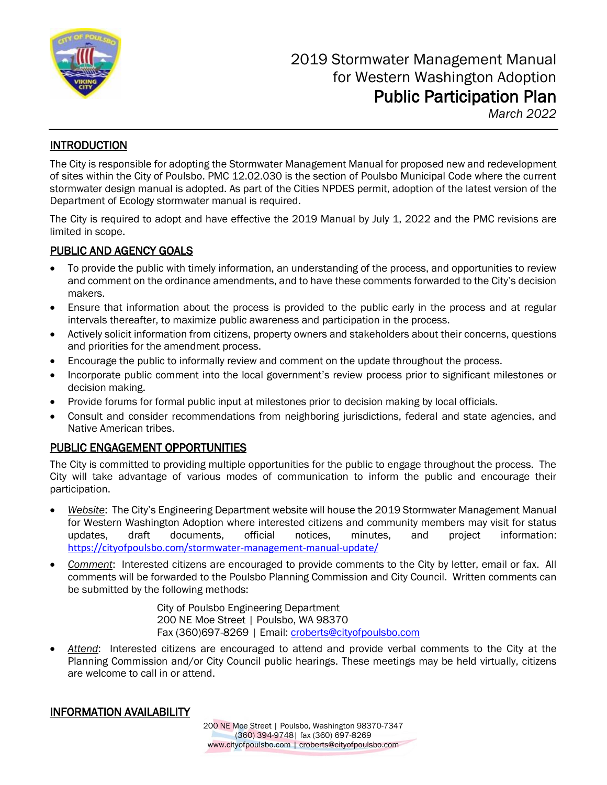

*March 2022*

# **INTRODUCTION**

The City is responsible for adopting the Stormwater Management Manual for proposed new and redevelopment of sites within the City of Poulsbo. PMC 12.02.030 is the section of Poulsbo Municipal Code where the current stormwater design manual is adopted. As part of the Cities NPDES permit, adoption of the latest version of the Department of Ecology stormwater manual is required.

The City is required to adopt and have effective the 2019 Manual by July 1, 2022 and the PMC revisions are limited in scope.

## PUBLIC AND AGENCY GOALS

- To provide the public with timely information, an understanding of the process, and opportunities to review and comment on the ordinance amendments, and to have these comments forwarded to the City's decision makers.
- Ensure that information about the process is provided to the public early in the process and at regular intervals thereafter, to maximize public awareness and participation in the process.
- Actively solicit information from citizens, property owners and stakeholders about their concerns, questions and priorities for the amendment process.
- Encourage the public to informally review and comment on the update throughout the process.
- Incorporate public comment into the local government's review process prior to significant milestones or decision making.
- Provide forums for formal public input at milestones prior to decision making by local officials.
- Consult and consider recommendations from neighboring jurisdictions, federal and state agencies, and Native American tribes.

# PUBLIC ENGAGEMENT OPPORTUNITIES

The City is committed to providing multiple opportunities for the public to engage throughout the process. The City will take advantage of various modes of communication to inform the public and encourage their participation.

- *Website*: The City's Engineering Department website will house the 2019 Stormwater Management Manual for Western Washington Adoption where interested citizens and community members may visit for status updates, draft documents, official notices, minutes, and project information: <https://cityofpoulsbo.com/stormwater-management-manual-update/>
- *Comment*: Interested citizens are encouraged to provide comments to the City by letter, email or fax. All comments will be forwarded to the Poulsbo Planning Commission and City Council. Written comments can be submitted by the following methods:

City of Poulsbo Engineering Department 200 NE Moe Street | Poulsbo, WA 98370 Fax (360)697-8269 | Email: [croberts@cityofpoulsbo.com](mailto:croberts@cityofpoulsbo.com) 

• *Attend*: Interested citizens are encouraged to attend and provide verbal comments to the City at the Planning Commission and/or City Council public hearings. These meetings may be held virtually, citizens are welcome to call in or attend.

## INFORMATION AVAILABILITY